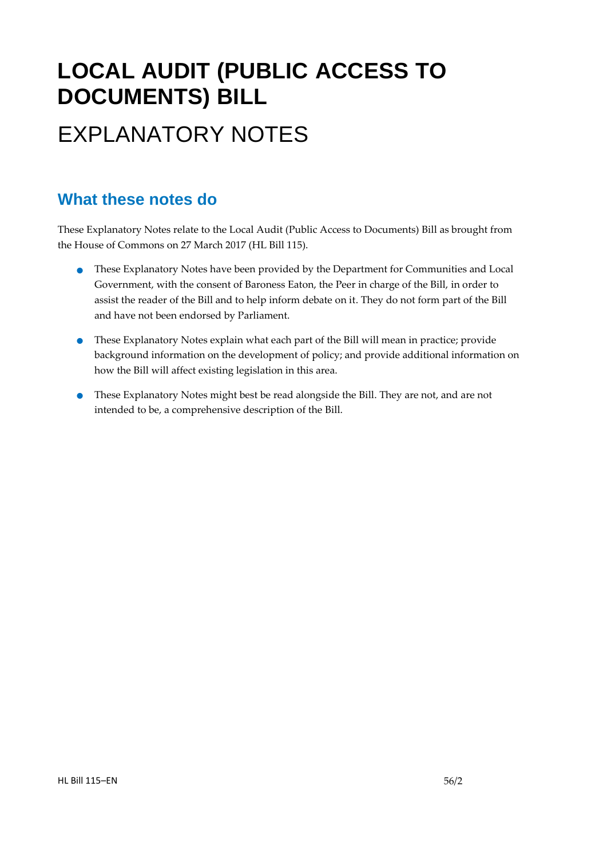# **LOCAL AUDIT (PUBLIC ACCESS TO DOCUMENTS) BILL**  EXPLANATORY NOTES

#### **What these notes do**

These Explanatory Notes relate to the Local Audit (Public Access to Documents) Bill as brought from the House of Commons on 27 March 2017 (HL Bill 115).

- These Explanatory Notes have been provided by the Department for Communities and Local Government, with the consent of Baroness Eaton, the Peer in charge of the Bill, in order to assist the reader of the Bill and to help inform debate on it. They do not form part of the Bill and have not been endorsed by Parliament.
- These Explanatory Notes explain what each part of the Bill will mean in practice; provide background information on the development of policy; and provide additional information on how the Bill will affect existing legislation in this area.
- These Explanatory Notes might best be read alongside the Bill. They are not, and are not intended to be, a comprehensive description of the Bill.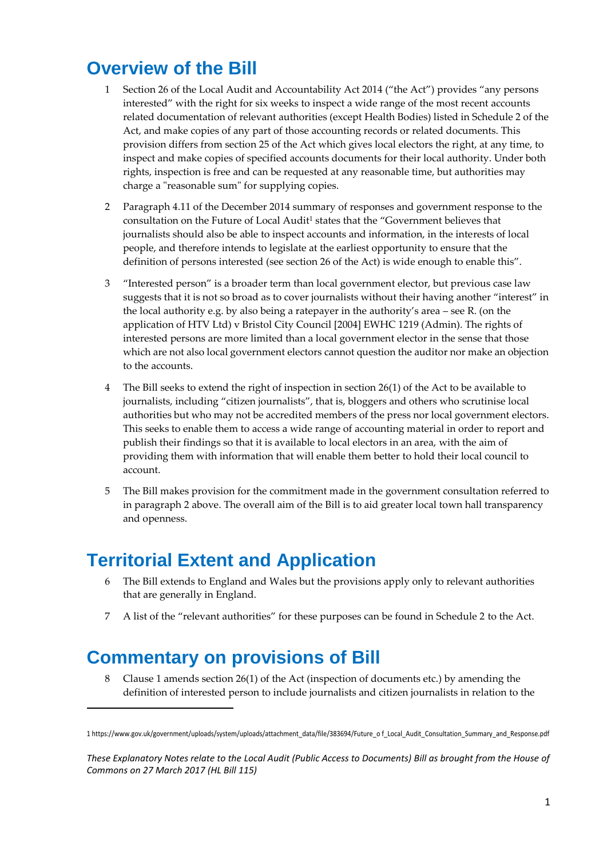## **Overview of the Bill**

- 1 Section 26 of the Local Audit and Accountability Act 2014 ("the Act") provides "any persons interested" with the right for six weeks to inspect a wide range of the most recent accounts related documentation of relevant authorities (except Health Bodies) listed in Schedule 2 of the Act, and make copies of any part of those accounting records or related documents. This provision differs from section 25 of the Act which gives local electors the right, at any time, to inspect and make copies of specified accounts documents for their local authority. Under both rights, inspection is free and can be requested at any reasonable time, but authorities may charge a "reasonable sum" for supplying copies.
- 2 Paragraph 4.11 of the December 2014 summary of responses and government response to the consultation on the Future of Local Audit<sup>1</sup> states that the "Government believes that journalists should also be able to inspect accounts and information, in the interests of local people, and therefore intends to legislate at the earliest opportunity to ensure that the definition of persons interested (see section 26 of the Act) is wide enough to enable this".
- 3 "Interested person" is a broader term than local government elector, but previous case law suggests that it is not so broad as to cover journalists without their having another "interest" in the local authority e.g. by also being a ratepayer in the authority's area – see R. (on the application of HTV Ltd) v Bristol City Council [2004] EWHC 1219 (Admin). The rights of interested persons are more limited than a local government elector in the sense that those which are not also local government electors cannot question the auditor nor make an objection to the accounts.
- 4 The Bill seeks to extend the right of inspection in section 26(1) of the Act to be available to journalists, including "citizen journalists", that is, bloggers and others who scrutinise local authorities but who may not be accredited members of the press nor local government electors. This seeks to enable them to access a wide range of accounting material in order to report and publish their findings so that it is available to local electors in an area, with the aim of providing them with information that will enable them better to hold their local council to account.
- 5 The Bill makes provision for the commitment made in the government consultation referred to in paragraph 2 above. The overall aim of the Bill is to aid greater local town hall transparency and openness.

## **Territorial Extent and Application**

- 6 The Bill extends to England and Wales but the provisions apply only to relevant authorities that are generally in England.
- 7 A list of the "relevant authorities" for these purposes can be found in Schedule 2 to the Act.

## **Commentary on provisions of Bill**

8 Clause 1 amends section 26(1) of the Act (inspection of documents etc.) by amending the definition of interested person to include journalists and citizen journalists in relation to the

*These Explanatory Notes relate to the Local Audit (Public Access to Documents) Bill as brought from the House of Commons on 27 March 2017 (HL Bill 115)* 

<sup>1</sup> https://www.gov.uk/government/uploads/system/uploads/attachment\_data/file/383694/Future\_o f\_Local\_Audit\_Consultation\_Summary\_and\_Response.pdf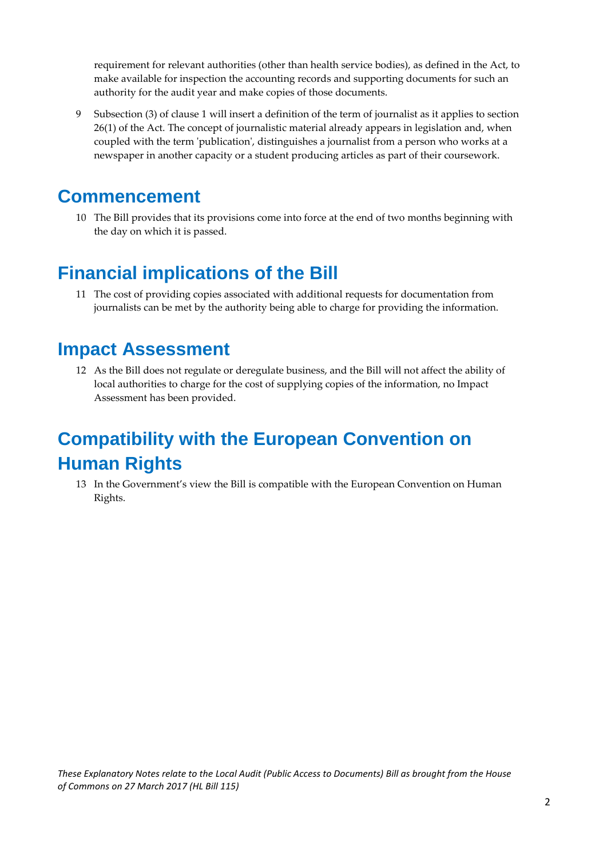requirement for relevant authorities (other than health service bodies), as defined in the Act, to make available for inspection the accounting records and supporting documents for such an authority for the audit year and make copies of those documents.

9 Subsection (3) of clause 1 will insert a definition of the term of journalist as it applies to section 26(1) of the Act. The concept of journalistic material already appears in legislation and, when coupled with the term 'publication', distinguishes a journalist from a person who works at a newspaper in another capacity or a student producing articles as part of their coursework.

#### **Commencement**

10 The Bill provides that its provisions come into force at the end of two months beginning with the day on which it is passed.

## **Financial implications of the Bill**

11 The cost of providing copies associated with additional requests for documentation from journalists can be met by the authority being able to charge for providing the information.

#### **Impact Assessment**

12 As the Bill does not regulate or deregulate business, and the Bill will not affect the ability of local authorities to charge for the cost of supplying copies of the information, no Impact Assessment has been provided.

## **Compatibility with the European Convention on Human Rights**

13 In the Government's view the Bill is compatible with the European Convention on Human Rights.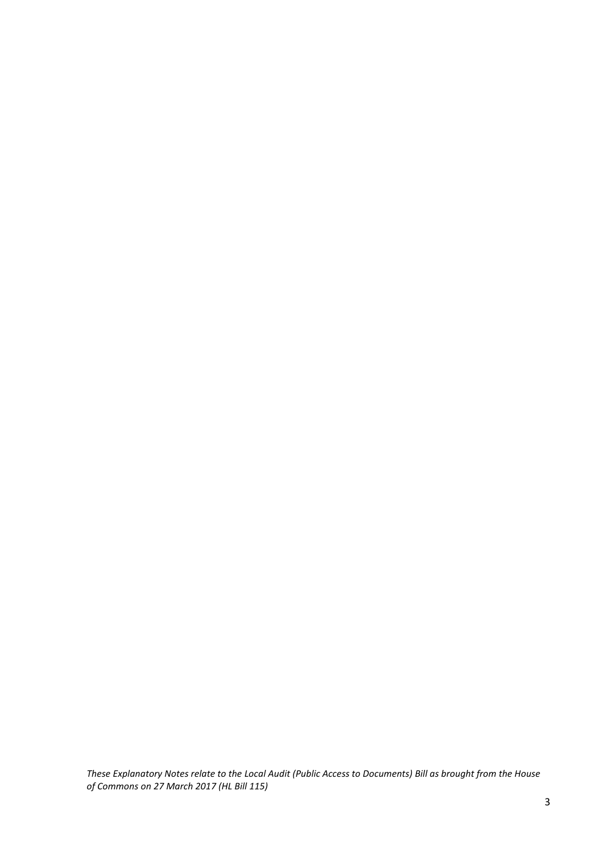*These Explanatory Notes relate to the Local Audit (Public Access to Documents) Bill as brought from the House of Commons on 27 March 2017 (HL Bill 115)*